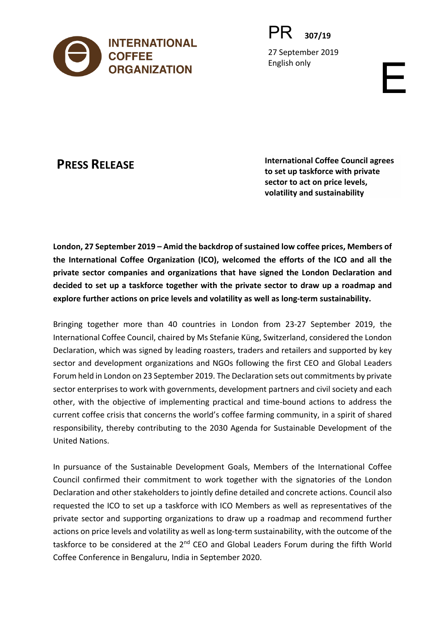

PR **307/19**

27 September 2019 English only<br>
English only<br>
English only<br>
English only<br>
English only<br>
English only

**PRESS RELEASE International Coffee Council agrees to set up taskforce with private sector to act on price levels, volatility and sustainability**

**London, 27 September 2019 – Amid the backdrop of sustained low coffee prices, Members of the International Coffee Organization (ICO), welcomed the efforts of the ICO and all the private sector companies and organizations that have signed the London Declaration and decided to set up a taskforce together with the private sector to draw up a roadmap and explore further actions on price levels and volatility as well as long-term sustainability.**

Bringing together more than 40 countries in London from 23-27 September 2019, the International Coffee Council, chaired by Ms Stefanie Küng, Switzerland, considered the London Declaration, which was signed by leading roasters, traders and retailers and supported by key sector and development organizations and NGOs following the first CEO and Global Leaders Forum held in London on 23 September 2019. The Declaration sets out commitments by private sector enterprises to work with governments, development partners and civil society and each other, with the objective of implementing practical and time-bound actions to address the current coffee crisis that concerns the world's coffee farming community, in a spirit of shared responsibility, thereby contributing to the 2030 Agenda for Sustainable Development of the United Nations.

In pursuance of the Sustainable Development Goals, Members of the International Coffee Council confirmed their commitment to work together with the signatories of the London Declaration and other stakeholders to jointly define detailed and concrete actions. Council also requested the ICO to set up a taskforce with ICO Members as well as representatives of the private sector and supporting organizations to draw up a roadmap and recommend further actions on price levels and volatility as well as long-term sustainability, with the outcome of the taskforce to be considered at the 2<sup>nd</sup> CEO and Global Leaders Forum during the fifth World Coffee Conference in Bengaluru, India in September 2020.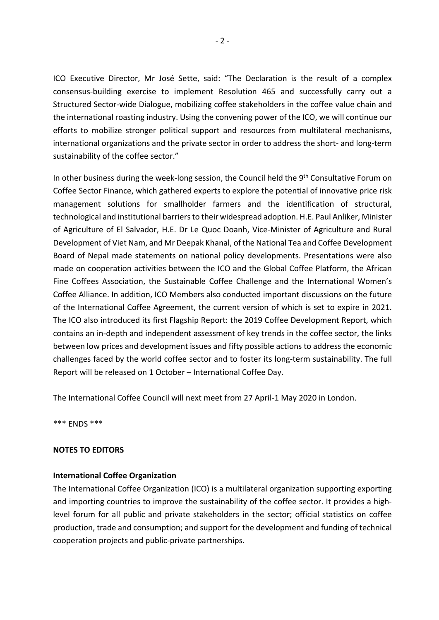ICO Executive Director, Mr José Sette, said: "The Declaration is the result of a complex consensus-building exercise to implement Resolution 465 and successfully carry out a Structured Sector-wide Dialogue, mobilizing coffee stakeholders in the coffee value chain and the international roasting industry. Using the convening power of the ICO, we will continue our efforts to mobilize stronger political support and resources from multilateral mechanisms, international organizations and the private sector in order to address the short- and long-term sustainability of the coffee sector."

In other business during the week-long session, the Council held the 9<sup>th</sup> Consultative Forum on Coffee Sector Finance, which gathered experts to explore the potential of innovative price risk management solutions for smallholder farmers and the identification of structural, technological and institutional barriers to their widespread adoption. H.E. Paul Anliker, Minister of Agriculture of El Salvador, H.E. Dr Le Quoc Doanh, Vice-Minister of Agriculture and Rural Development of Viet Nam, and Mr Deepak Khanal, of the National Tea and Coffee Development Board of Nepal made statements on national policy developments. Presentations were also made on cooperation activities between the ICO and the Global Coffee Platform, the African Fine Coffees Association, the Sustainable Coffee Challenge and the International Women's Coffee Alliance. In addition, ICO Members also conducted important discussions on the future of the International Coffee Agreement, the current version of which is set to expire in 2021. The ICO also introduced its first Flagship Report: the 2019 Coffee Development Report, which contains an in-depth and independent assessment of key trends in the coffee sector, the links between low prices and development issues and fifty possible actions to address the economic challenges faced by the world coffee sector and to foster its long-term sustainability. The full Report will be released on 1 October – International Coffee Day.

The International Coffee Council will next meet from 27 April-1 May 2020 in London.

\*\*\* ENDS \*\*\*

# **NOTES TO EDITORS**

# **International Coffee Organization**

The International Coffee Organization (ICO) is a multilateral organization supporting exporting and importing countries to improve the sustainability of the coffee sector. It provides a highlevel forum for all public and private stakeholders in the sector; official statistics on coffee production, trade and consumption; and support for the development and funding of technical cooperation projects and public-private partnerships.